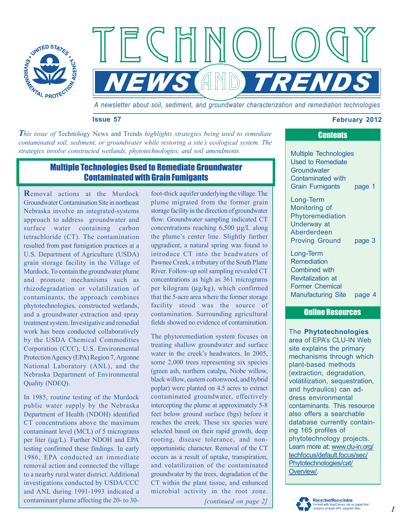

 $\mathbb{F}(\mathbb{C})$ *NEWS AND TREND* 

*A newsletter about soil, sediment, and groundwater characterization and remediation technologies* 

## **Issue 57 February 2012**

 *This issue of* Technology News and Trends *highlights strategies being used to remediate contaminated soil, sediment, or groundwater while restoring a site's ecological system. The strategies involve constructed wetlands, phytotechnologies, and soil amendments.* 

## Multiple Technologies Used to Remediate Groundwater Contaminated with Grain Fumigants

**R**emoval actions at the Murdock Groundwater Contamination Site in northeast Nebraska involve an integrated-systems approach to address groundwater and surface water containing carbon tetrachloride (CT). The contamination resulted from past fumigation practices at a U.S. Department of Agriculture (USDA) grain storage facility in the Village of Murdock. To contain the groundwater plume and promote mechanisms such as rhizodegradation or volatilization of contaminants, the approach combines phytotechnologies, constructed wetlands, and a groundwater extraction and spray treatment system. Investigative and remedial work has been conducted collaboratively by the USDA Chemical Commodities Corporation (CCC), U.S. Environmental Protection Agency (EPA) Region 7, Argonne National Laboratory (ANL), and the Nebraska Department of Environmental Quality (NDEQ).

In 1985, routine testing of the Murdock public water supply by the Nebraska Department of Health (NDOH) identified CT concentrations above the maximum contaminant level (MCL) of 5 micrograms per liter (μg/L). Further NDOH and EPA testing confirmed these findings. In early 1986, EPA conducted an immediate removal action and connected the village to a nearby rural water district. Additional investigations conducted by USDA/CCC and ANL during 1991-1993 indicated a contaminant plume affecting the 20- to 30foot-thick aquifer underlying the village. The plume migrated from the former grain storage facility in the direction of groundwater flow. Groundwater sampling indicated CT concentrations reaching 6,500 μg/L along the plume's center line. Slightly farther upgradient, a natural spring was found to introduce CT into the headwaters of Pawnee Creek, a tributary of the South Platte River. Follow-up soil sampling revealed CT concentrations as high as 361 micrograms per kilogram (μg/kg), which confirmed that the 5-acre area where the former storage facility stood was the source of contamination. Surrounding agricultural fields showed no evidence of contamination.

The phytoremediation system focuses on treating shallow groundwater and surface water in the creek's headwaters. In 2005, some 2,000 trees representing six species (green ash, northern catalpa, Niobe willow, black willow, eastern cottonwood, and hybrid poplar) were planted on 4.5 acres to extract contaminated groundwater, effectively intercepting the plume at approximately 5-8 feet below ground surface (bgs) before it reaches the creek. These six species were selected based on their rapid growth, deep rooting, disease tolerance, and nonopportunistic character. Removal of the CT occurs as a result of uptake, transpiration, and volatilization of the contaminated groundwater by the trees, degradation of the CT within the plant tissue, and enhanced microbial activity in the root zone.

*[continued on page 2]* 

# **Contents**

Multiple Technologies Used to Remediate **Groundwater** Contaminated with Grain Fumigants page 1

Long-Term Monitoring of Phytoremediation Underway at Aberderdeen [Proving Ground page 3](#page-2-0) 

Long-Term Remediation Combined with Revitalization at Former Chemical [Manufacturing Site page 4](#page-3-0) 

## Online Resources

The **Phytotechnologies**  area of EPA's CLU-IN Web site explains the primary mechanisms through which plant-based methods (extraction, degradation, volatilization, sequestration, and hydraulics) can address environmental contaminants. This resource also offers a searchable database currently containing 165 profiles of phytotechnology projects. Learn more at[: www.clu-in.org/](http://www.clu-in.org/techfocus/default.focus/sec/Phytotechnologies/cat/Overview/)  [techfocus/default.focus/sec/](http://www.clu-in.org/techfocus/default.focus/sec/Phytotechnologies/cat/Overview/)  Phytotechnologies/cat/ Overview/.

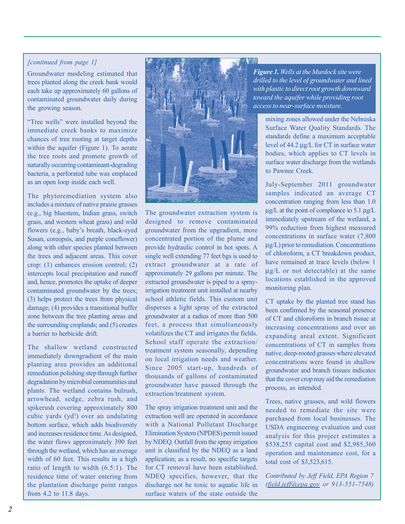### *[continued from page 1]*

Groundwater modeling estimated that trees planted along the creek bank would each take up approximately 60 gallons of contaminated groundwater daily during the growing season.

"Tree wells" were installed beyond the immediate creek banks to maximize chances of tree rooting at target depths within the aquifer (Figure 1). To aerate the tree roots and promote growth of naturally occurring contaminant-degrading bacteria, a perforated tube was emplaced as an open loop inside each well.

The phytoremediation system also includes a mixture of native prairie grasses (e.g., big bluestem, Indian grass, switch grass, and western wheat grass) and wild flowers (e.g., baby's breath, black-eyed Susan, coreopsis, and purple coneflower) along with other species planted between the trees and adjacent areas. This cover crop: (1) enhances erosion control; (2) intercepts local precipitation and runoff and, hence, promotes the uptake of deeper contaminated groundwater by the trees; (3) helps protect the trees from physical damage; (4) provides a transitional buffer zone between the tree planting areas and the surrounding croplands; and (5) creates a barrier to herbicide drift.

The shallow wetland constructed immediately downgradient of the main planting area provides an additional remediation polishing step through further degradation by microbial communities and plants. The wetland contains bulrush, arrowhead, sedge, zebra rush, and spikerush covering approximately 800 cubic yards  $(yd^3)$  over an undulating bottom surface, which adds biodiversity and increases residence time. As designed, the water flows approximately 390 feet through the wetland, which has an average width of 60 feet. This results in a high ratio of length to width (6.5:1). The residence time of water entering from the plantation discharge point ranges from 4.2 to 11.8 days.



The groundwater extraction system is designed to remove contaminated groundwater from the upgradient, more concentrated portion of the plume and provide hydraulic control in hot spots. A single well extending 77 feet bgs is used to extract groundwater at a rate of approximately 29 gallons per minute. The extracted groundwater is piped to a sprayirrigation treatment unit installed at nearby school athletic fields. This custom unit disperses a light spray of the extracted groundwater at a radius of more than 500 feet, a process that simultaneously volatilizes the CT and irrigates the fields. School staff operate the extraction/ treatment system seasonally, depending on local irrigation needs and weather. Since 2005 start-up, hundreds of thousands of gallons of contaminated groundwater have passed through the extraction/treatment system.

The spray irrigation treatment unit and the extraction well are operated in accordance with a National Pollutant Discharge Elimination System (NPDES) permit issued by NDEQ. Outfall from the spray irrigation unit is classified by the NDEQ as a land application; as a result, no specific targets for CT removal have been established. NDEQ specifies, however, that the discharge not be toxic to aquatic life in surface waters of the state outside the

*Figure 1. Wells at the Murdock site were drilled to the level of groundwater and lined with plastic to direct root growth downward toward the aquifer while providing root access to near-surface moisture.* 

> mixing zones allowed under the Nebraska Surface Water Quality Standards. The standards define a maximum acceptable level of 44.2 μg/L for CT in surface water bodies, which applies to CT levels in surface water discharge from the wetlands to Pawnee Creek.

> July-September 2011 groundwater samples indicated an average CT concentration ranging from less than 1.0 μg/L at the point of compliance to 5.1 μg/L immediately upstream of the wetland, a 99% reduction from highest measured concentrations in surface water (7,800 μg/L) prior to remediation. Concentrations of chloroform, a CT breakdown product, have remained at trace levels (below 1 μg/L or not detectable) at the same locations established in the approved monitoring plan.

> CT uptake by the planted tree stand has been confirmed by the seasonal presence of CT and chloroform in branch tissue at increasing concentrations and over an expanding areal extent. Significant concentrations of CT in samples from native, deep-rooted grasses where elevated concentrations were found in shallow groundwater and branch tissues indicates that the cover crop may aid the remediation process, as intended.

> Trees, native grasses, and wild flowers needed to remediate the site were purchased from local businesses. The USDA engineering evaluation and cost analysis for this project estimates a \$538,255 capital cost and \$2,985,360 operation and maintenance cost, for a total cost of \$3,523,615.

*Contributed by Jeff Field, EPA Region 7 [\(field.jeff@epa.gov](mailto:field.jeff@epa.gov) or 913-551-7548)*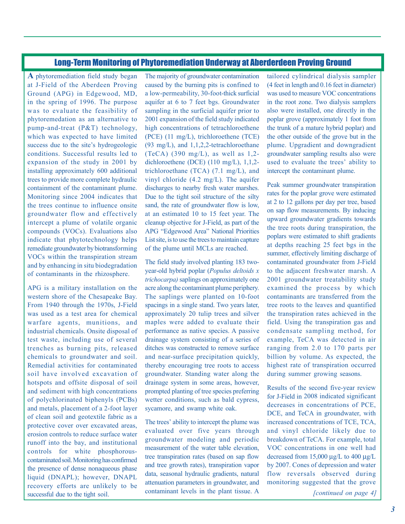## Long-Term Monitoring of Phytoremediation Underway at Aberderdeen Proving Ground

<span id="page-2-0"></span> phytoremedation as an alternative to **A** phytoremediation field study began at J-Field of the Aberdeen Proving Ground (APG) in Edgewood, MD, in the spring of 1996. The purpose was to evaluate the feasibility of pump-and-treat (P&T) technology, which was expected to have limited success due to the site's hydrogeologic conditions. Successful results led to expansion of the study in 2001 by installing approximately 600 additional trees to provide more complete hydraulic containment of the contaminant plume. Monitoring since 2004 indicates that the trees continue to influence onsite groundwater flow and effectively intercept a plume of volatile organic compounds (VOCs). Evaluations also indicate that phytotechnology helps remediate groundwater by biotransforming VOCs within the transpiration stream and by enhancing in situ biodegradation of contaminants in the rhizosphere.

 was used as a test area for chemical APG is a military installation on the western shore of the Chesapeake Bay. From 1940 through the 1970s, J-Field warfare agents, munitions, and industrial chemicals. Onsite disposal of test waste, including use of several trenches as burning pits, released chemicals to groundwater and soil. Remedial activities for contaminated soil have involved excavation of hotspots and offsite disposal of soil and sediment with high concentrations of polychlorinated biphenyls (PCBs) and metals, placement of a 2-foot layer of clean soil and geotextile fabric as a protective cover over excavated areas, erosion controls to reduce surface water runoff into the bay, and institutional controls for white phosphorouscontaminated soil. Monitoring has confirmed the presence of dense nonaqueous phase liquid (DNAPL); however, DNAPL recovery efforts are unlikely to be successful due to the tight soil.

The majority of groundwater contamination caused by the burning pits is confined to a low-permeability, 30-foot-thick surficial aquifer at 6 to 7 feet bgs. Groundwater sampling in the surficial aquifer prior to 2001 expansion of the field study indicated high concentrations of tetrachloroethene (PCE) (11 mg/L), trichloroethene (TCE) (93 mg/L), and 1,1,2,2-tetrachloroethane (TeCA) (390 mg/L), as well as  $1,2$ dichloroethene (DCE) (110 mg/L), 1,1,2 trichloroethane (TCA) (7.1 mg/L), and vinyl chloride (4.2 mg/L). The aquifer discharges to nearby fresh water marshes. Due to the tight soil structure of the silty sand, the rate of groundwater flow is low, at an estimated 10 to 15 feet year. The cleanup objective for J-Field, as part of the APG "Edgewood Area" National Priorities List site, is to use the trees to maintain capture of the plume until MCLs are reached.

The field study involved planting 183 twoyear-old hybrid poplar (*Populus deltoids x trichocarpa)* saplings on approximately one acre along the contaminant plume periphery. The saplings were planted on 10-foot spacings in a single stand. Two years later, approximately 20 tulip trees and silver maples were added to evaluate their performance as native species. A passive drainage system consisting of a series of ditches was constructed to remove surface and near-surface precipitation quickly, thereby encouraging tree roots to access groundwater. Standing water along the drainage system in some areas, however, prompted planting of tree species preferring wetter conditions, such as bald cypress, sycamore, and swamp white oak.

The trees' ability to intercept the plume was evaluated over five years through groundwater modeling and periodic measurement of the water table elevation, tree transpiration rates (based on sap flow and tree growth rates), transpiration vapor data, seasonal hydraulic gradients, natural attenuation parameters in groundwater, and contaminant levels in the plant tissue. A

tailored cylindrical dialysis sampler (4 feet in length and 0.16 feet in diameter) was used to measure VOC concentrations in the root zone. Two dialysis samplers also were installed, one directly in the poplar grove (approximately 1 foot from the trunk of a mature hybrid poplar) and the other outside of the grove but in the plume. Upgradient and downgradient groundwater sampling results also were used to evaluate the trees' ability to intercept the contaminant plume.

Peak summer groundwater transpiration rates for the poplar grove were estimated at 2 to 12 gallons per day per tree, based on sap flow measurements. By inducing upward groundwater gradients towards the tree roots during transpiration, the poplars were estimated to shift gradients at depths reaching 25 feet bgs in the summer, effectively limiting discharge of contaminated groundwater from J-Field to the adjacent freshwater marsh. A 2001 groundwater treatability study examined the process by which contaminants are transferred from the tree roots to the leaves and quantified the transpiration rates achieved in the field. Using the transpiration gas and condensate sampling method, for example, TeCA was detected in air ranging from 2.0 to 170 parts per billion by volume. As expected, the highest rate of transpiration occurred during summer growing seasons.

Results of the second five-year review for J-Field in 2008 indicated significant decreases in concentrations of PCE, DCE, and TeCA in groundwater, with increased concentrations of TCE, TCA, and vinyl chloride likely due to breakdown of TeCA. For example, total VOC concentrations in one well had decreased from 15,000 μg/L to 400 μg/L by 2007. Cones of depression and water flow reversals observed during monitoring suggested that the grove

*[continued on page 4]*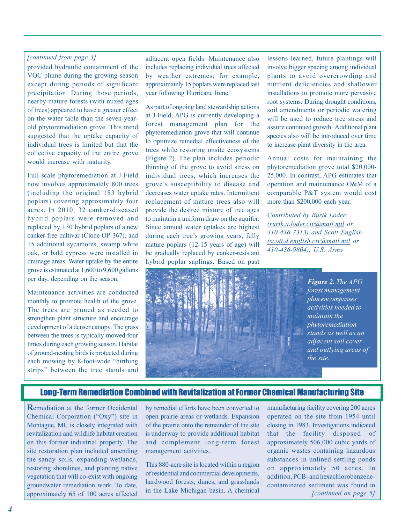### <span id="page-3-0"></span>*[continued from page 3]*

provided hydraulic containment of the VOC plume during the growing season except during periods of significant precipitation. During those periods, nearby mature forests (with mixed ages of trees) appeared to have a greater effect on the water table than the seven-yearold phytoremediation grove. This trend suggested that the uptake capacity of individual trees is limited but that the collective capacity of the entire grove would increase with maturity.

Full-scale phytoremediation at J-Field now involves approximately 800 trees (including the original 183 hybrid poplars) covering approximately four acres. In 2010, 32 canker-diseased hybrid poplars were removed and replaced by 130 hybrid poplars of a new canker-free cultivar (Clone OP 367), and 15 additional sycamores, swamp white oak, or bald cypress were installed in drainage areas. Water uptake by the entire grove is estimated at 1,600 to 9,600 gallons per day, depending on the season.

Maintenance activities are conducted monthly to promote health of the grove. The trees are pruned as needed to strengthen plant structure and encourage development of a denser canopy. The grass between the trees is typically mowed four times during each growing season. Habitat of ground-nesting birds is protected during each mowing by 8-foot-wide "birthing strips" between the tree stands and

adjacent open fields. Maintenance also includes replacing individual trees affected by weather extremes; for example, approximately 15 poplars were replaced last year following Hurricane Irene.

As part of ongoing land stewardship actions at J-Field, APG is currently developing a forest management plan for the phytoremediation grove that will continue to optimize remedial effectiveness of the trees while restoring onsite ecosystems (Figure 2). The plan includes periodic thinning of the grove to avoid stress on individual trees, which increases the grove's susceptibility to disease and decreases water uptake rates. Intermittent replacement of mature trees also will provide the desired mixture of tree ages to maintain a uniform draw on the aquifer. Since annual water uptakes are highest during each tree's growing years, fully mature poplars (12-15 years of age) will be gradually replaced by canker-resistant hybrid poplar saplings. Based on past lessons learned, future plantings will involve bigger spacing among individual plants to avoid overcrowding and nutrient deficiencies and shallower installations to promote more pervasive root systems. During drought conditions, soil amendments or periodic watering will be used to reduce tree stress and assure continued growth. Additional plant species also will be introduced over time to increase plant diversity in the area.

Annual costs for maintaining the phytoremediation grove total \$20,000- 25,000. In contrast, APG estimates that operation and maintenance O&M of a comparable P&T system would cost more than \$200,000 each year.

*Contributed by Rurik Loder [\(rurik.a.loder.civ@mail.mil](mailto:rurik.a.loder.civ@mail.mil) or 410-436-7313) and Scott English [\(scott.d.english.civ@mail.mil](mailto:scott.d.english.civ@mail.mil) or 410-436-9804), U.S. Army* 



## Long-Term Remediation Combined with Revitalization at Former Chemical Manufacturing Site

**R**emediation at the former Occidental Chemical Corporation ("Oxy") site in Montague, MI, is closely integrated with revitalization and wildlife habitat creation on this former industrial property. The site restoration plan included amending the sandy soils, expanding wetlands, restoring shorelines, and planting native vegetation that will co-exist with ongoing groundwater remediation work. To date, approximately 65 of 100 acres affected

by remedial efforts have been converted to open prairie areas or wetlands. Expansion of the prairie onto the remainder of the site is underway to provide additional habitat and complement long-term forest management activities.

This 880-acre site is located within a region of residential and commercial developments, hardwood forests, dunes, and grasslands in the Lake Michigan basin. A chemical

*[continued on page 5]*  manufacturing facility covering 200 acres operated on the site from 1954 until closing in 1983. Investigations indicated that the facility disposed of approximately 506,000 cubic yards of organic wastes containing hazardous substances in unlined settling ponds on approximately 50 acres. In addition, PCB- and hexachlorobenzenecontaminated sediment was found in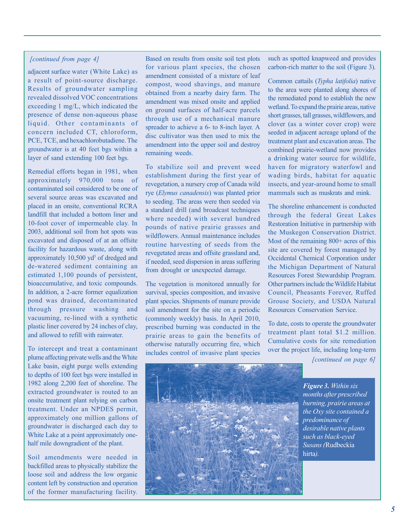### *[continued from page 4]*

adjacent surface water (White Lake) as a result of point-source discharge. Results of groundwater sampling revealed dissolved VOC concentrations exceeding 1 mg/L, which indicated the presence of dense non-aqueous phase liquid. Other contaminants of concern included CT, chloroform, PCE, TCE, and hexachlorobutadiene. The groundwater is at 40 feet bgs within a layer of sand extending 100 feet bgs.

Remedial efforts began in 1981, when approximately 970,000 tons of contaminated soil considered to be one of several source areas was excavated and placed in an onsite, conventional RCRA landfill that included a bottom liner and 10-foot cover of impermeable clay. In 2003, additional soil from hot spots was excavated and disposed of at an offsite facility for hazardous waste, along with approximately  $10,500$  yd<sup>3</sup> of dredged and de-watered sediment containing an estimated 1,100 pounds of persistent, bioaccumulative, and toxic compounds. In addition, a 2-acre former equalization pond was drained, decontaminated through pressure washing and vacuuming, re-lined with a synthetic plastic liner covered by 24 inches of clay, and allowed to refill with rainwater.

To intercept and treat a contaminant plume affecting private wells and the White Lake basin, eight purge wells extending to depths of 100 feet bgs were installed in 1982 along 2,200 feet of shoreline. The extracted groundwater is routed to an onsite treatment plant relying on carbon treatment. Under an NPDES permit, approximately one million gallons of groundwater is discharged each day to White Lake at a point approximately onehalf mile downgradient of the plant.

Soil amendments were needed in backfilled areas to physically stabilize the loose soil and address the low organic content left by construction and operation of the former manufacturing facility.

Based on results from onsite soil test plots for various plant species, the chosen amendment consisted of a mixture of leaf compost, wood shavings, and manure obtained from a nearby dairy farm. The amendment was mixed onsite and applied on ground surfaces of half-acre parcels through use of a mechanical manure spreader to achieve a 6- to 8-inch layer. A disc cultivator was then used to mix the amendment into the upper soil and destroy remaining weeds.

To stabilize soil and prevent weed establishment during the first year of revegetation, a nursery crop of Canada wild rye (*Elymus canadensis*) was planted prior to seeding. The areas were then seeded via a standard drill (and broadcast techniques where needed) with several hundred pounds of native prairie grasses and wildflowers. Annual maintenance includes routine harvesting of seeds from the revegetated areas and offsite grassland and, if needed, seed dispersion in areas suffering from drought or unexpected damage.

The vegetation is monitored annually for survival, species composition, and invasive plant species. Shipments of manure provide soil amendment for the site on a periodic (commonly weekly) basis. In April 2010, prescribed burning was conducted in the prairie areas to gain the benefits of otherwise naturally occurring fire, which includes control of invasive plant species

such as spotted knapweed and provides carbon-rich matter to the soil (Figure 3).

Common cattails (*Typha latifolia*) native to the area were planted along shores of the remediated pond to establish the new wetland. To expand the prairie areas, native short grasses, tall grasses, wildflowers, and clover (as a winter cover crop) were seeded in adjacent acreage upland of the treatment plant and excavation areas. The combined prairie-wetland now provides a drinking water source for wildlife, haven for migratory waterfowl and wading birds, habitat for aquatic insects, and year-around home to small mammals such as muskrats and mink.

The shoreline enhancement is conducted through the federal Great Lakes Restoration Initiative in partnership with the Muskegon Conservation District. Most of the remaining 800+ acres of this site are covered by forest managed by Occidental Chemical Corporation under the Michigan Department of Natural Resources Forest Stewardship Program. Other partners include the Wildlife Habitat Council, Pheasants Forever, Ruffed Grouse Society, and USDA Natural Resources Conservation Service.

To date, costs to operate the groundwater treatment plant total \$1.2 million. Cumulative costs for site remediation over the project life, including long-term

*[continued on page 6]* 



*Figure 3. Within six months after prescribed burning, prairie areas at the Oxy site contained a predominance of desirable native plants such as black-eyed Susans (*Rudbeckia hirta).